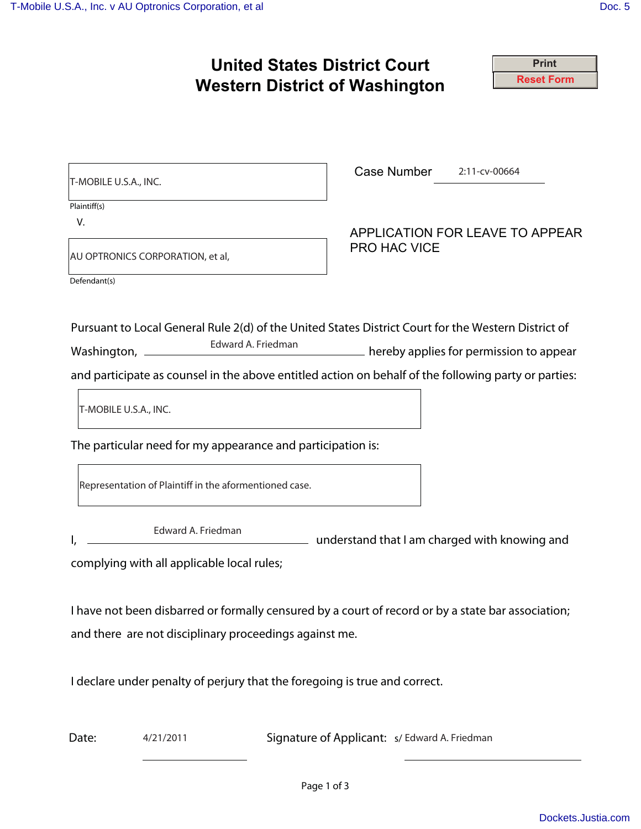|                       |                                                                                                             |                    | <b>United States District Court</b><br><b>Western District of Washington</b>                                                                                                                                | <b>Print</b><br><b>Reset Form</b>       |
|-----------------------|-------------------------------------------------------------------------------------------------------------|--------------------|-------------------------------------------------------------------------------------------------------------------------------------------------------------------------------------------------------------|-----------------------------------------|
| T-MOBILE U.S.A., INC. |                                                                                                             |                    | Case Number                                                                                                                                                                                                 | $2:11$ -cv-00664                        |
| Plaintiff(s)<br>V.    | AU OPTRONICS CORPORATION, et al,                                                                            |                    | <b>PRO HAC VICE</b>                                                                                                                                                                                         | APPLICATION FOR LEAVE TO APPEAR         |
| Defendant(s)          |                                                                                                             |                    |                                                                                                                                                                                                             |                                         |
|                       | Washington, _______<br>T-MOBILE U.S.A., INC.<br>The particular need for my appearance and participation is: | Edward A. Friedman | Pursuant to Local General Rule 2(d) of the United States District Court for the Western District of<br>and participate as counsel in the above entitled action on behalf of the following party or parties: | hereby applies for permission to appear |
|                       | Representation of Plaintiff in the aformentioned case.                                                      |                    |                                                                                                                                                                                                             |                                         |
|                       | Edward A. Friedman<br>complying with all applicable local rules;                                            |                    | Edward A. Friedman <b>Edward A. Friedman</b> understand that I am charged with knowing and                                                                                                                  |                                         |
|                       | and there are not disciplinary proceedings against me.                                                      |                    | I have not been disbarred or formally censured by a court of record or by a state bar association;                                                                                                          |                                         |
|                       |                                                                                                             |                    | I declare under penalty of perjury that the foregoing is true and correct.                                                                                                                                  |                                         |
| Date:                 | 4/21/2011                                                                                                   |                    | Signature of Applicant: s/ Edward A. Friedman                                                                                                                                                               |                                         |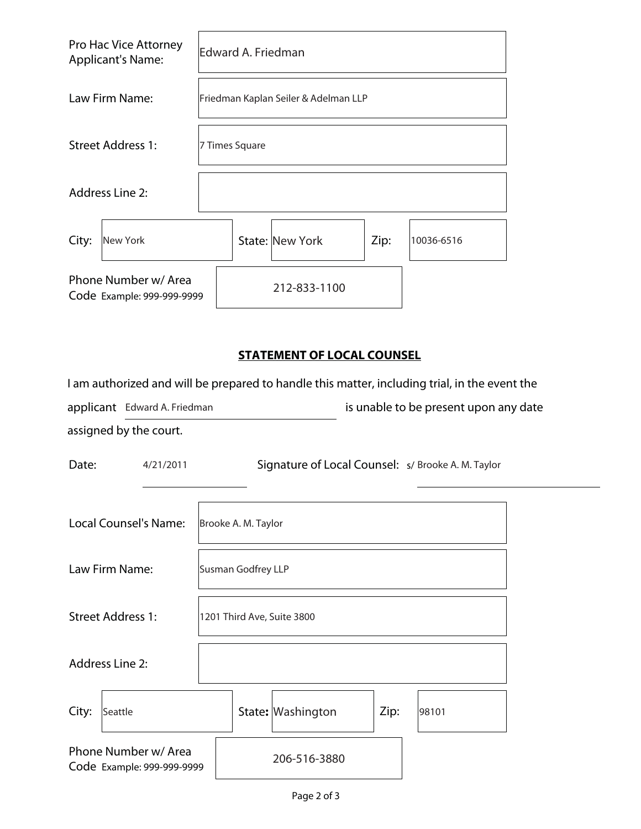| Pro Hac Vice Attorney<br><b>Applicant's Name:</b>  |          | Edward A. Friedman                   |  |                 |      |            |
|----------------------------------------------------|----------|--------------------------------------|--|-----------------|------|------------|
| Law Firm Name:                                     |          | Friedman Kaplan Seiler & Adelman LLP |  |                 |      |            |
| Street Address 1:                                  |          | 7 Times Square                       |  |                 |      |            |
| <b>Address Line 2:</b>                             |          |                                      |  |                 |      |            |
| City:                                              | New York |                                      |  | State: New York | Zip: | 10036-6516 |
| Phone Number w/ Area<br>Code Example: 999-999-9999 |          |                                      |  | 212-833-1100    |      |            |

## **STATEMENT OF LOCAL COUNSEL**

|       |                              | I am authorized and will be prepared to handle this matter, including trial, in the event the |
|-------|------------------------------|-----------------------------------------------------------------------------------------------|
|       | applicant Edward A. Friedman | is unable to be present upon any date                                                         |
|       | assigned by the court.       |                                                                                               |
| Date: | 4/21/2011                    | Signature of Local Counsel: s/ Brooke A. M. Taylor                                            |

| Local Counsel's Name:                              |         | Brooke A. M. Taylor        |              |                   |      |       |
|----------------------------------------------------|---------|----------------------------|--------------|-------------------|------|-------|
| Law Firm Name:                                     |         | Susman Godfrey LLP         |              |                   |      |       |
| <b>Street Address 1:</b>                           |         | 1201 Third Ave, Suite 3800 |              |                   |      |       |
| <b>Address Line 2:</b>                             |         |                            |              |                   |      |       |
| City:                                              | Seattle |                            |              | State: Washington | Zip: | 98101 |
| Phone Number w/ Area<br>Code Example: 999-999-9999 |         |                            | 206-516-3880 |                   |      |       |